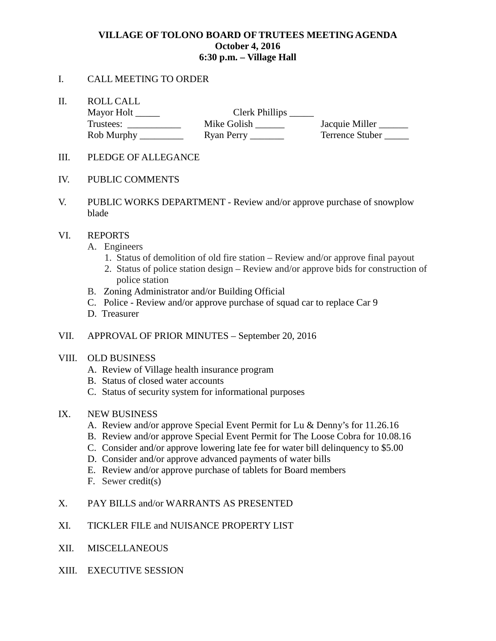# **VILLAGE OF TOLONO BOARD OF TRUTEES MEETING AGENDA October 4, 2016 6:30 p.m. – Village Hall**

### I. CALL MEETING TO ORDER

II. ROLL CALL

| Mayor Holt | Clerk Phillips |                 |
|------------|----------------|-----------------|
| Trustees:  | Mike Golish    | Jacquie Miller  |
| Rob Murphy | Ryan Perry     | Terrence Stuber |

- III. PLEDGE OF ALLEGANCE
- IV. PUBLIC COMMENTS
- V. PUBLIC WORKS DEPARTMENT Review and/or approve purchase of snowplow blade

### VI. REPORTS

- A. Engineers
	- 1. Status of demolition of old fire station Review and/or approve final payout
	- 2. Status of police station design Review and/or approve bids for construction of police station
- B. Zoning Administrator and/or Building Official
- C. Police Review and/or approve purchase of squad car to replace Car 9
- D. Treasurer
- VII. APPROVAL OF PRIOR MINUTES September 20, 2016

#### VIII. OLD BUSINESS

- A. Review of Village health insurance program
- B. Status of closed water accounts
- C. Status of security system for informational purposes

# IX. NEW BUSINESS

- A. Review and/or approve Special Event Permit for Lu & Denny's for 11.26.16
- B. Review and/or approve Special Event Permit for The Loose Cobra for 10.08.16
- C. Consider and/or approve lowering late fee for water bill delinquency to \$5.00
- D. Consider and/or approve advanced payments of water bills
- E. Review and/or approve purchase of tablets for Board members
- F. Sewer credit(s)
- X. PAY BILLS and/or WARRANTS AS PRESENTED
- XI. TICKLER FILE and NUISANCE PROPERTY LIST
- XII. MISCELLANEOUS
- XIII. EXECUTIVE SESSION